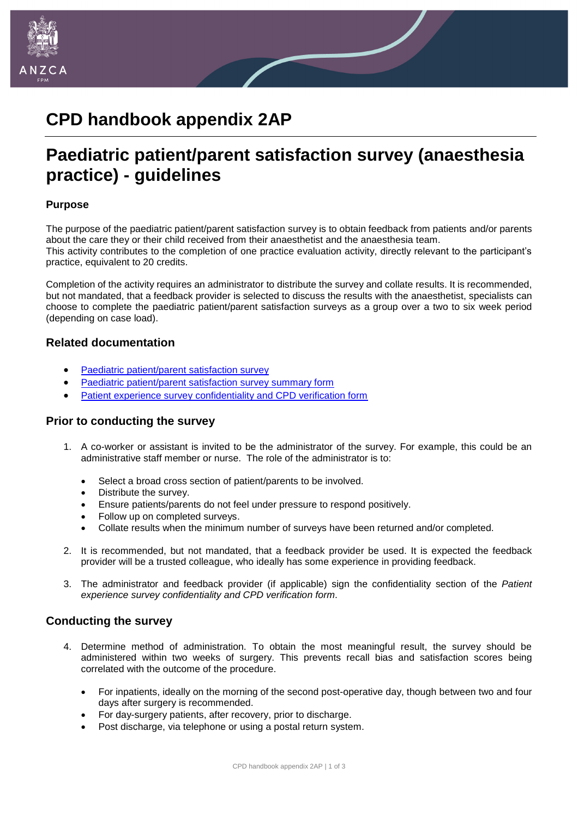

## **CPD handbook appendix 2AP**

# **Paediatric patient/parent satisfaction survey (anaesthesia practice) - guidelines**

## **Purpose**

The purpose of the paediatric patient/parent satisfaction survey is to obtain feedback from patients and/or parents about the care they or their child received from their anaesthetist and the anaesthesia team. This activity contributes to the completion of one practice evaluation activity, directly relevant to the participant's practice, equivalent to 20 credits.

Completion of the activity requires an administrator to distribute the survey and collate results. It is recommended, but not mandated, that a feedback provider is selected to discuss the results with the anaesthetist, specialists can choose to complete the paediatric patient/parent satisfaction surveys as a group over a two to six week period (depending on case load).

## **Related documentation**

- [Paediatric patient/parent satisfaction survey](http://www.anzca.edu.au/documents/appendix_1ap_paediatric_patientparent_satisfaction.pdf)
- [Paediatric patient/parent satisfaction survey summary form](http://www.anzca.edu.au/documents/appendix_1-1ap_paediatric_patientparent_survey-(1).pdf)
- [Patient experience survey confidentiality and CPD verification form](http://www.anzca.edu.au/documents/appendix_3_patient_experience_survey_confidentiali.pdf)

#### **Prior to conducting the survey**

- 1. A co-worker or assistant is invited to be the administrator of the survey. For example, this could be an administrative staff member or nurse. The role of the administrator is to:
	- Select a broad cross section of patient/parents to be involved.
	- Distribute the survey.
	- Ensure patients/parents do not feel under pressure to respond positively.
	- Follow up on completed surveys.
	- Collate results when the minimum number of surveys have been returned and/or completed.
- 2. It is recommended, but not mandated, that a feedback provider be used. It is expected the feedback provider will be a trusted colleague, who ideally has some experience in providing feedback.
- 3. The administrator and feedback provider (if applicable) sign the confidentiality section of the *Patient experience survey confidentiality and CPD verification form*.

## **Conducting the survey**

- 4. Determine method of administration. To obtain the most meaningful result, the survey should be administered within two weeks of surgery. This prevents recall bias and satisfaction scores being correlated with the outcome of the procedure.
	- For inpatients, ideally on the morning of the second post-operative day, though between two and four days after surgery is recommended.
	- For day-surgery patients, after recovery, prior to discharge.
	- Post discharge, via telephone or using a postal return system.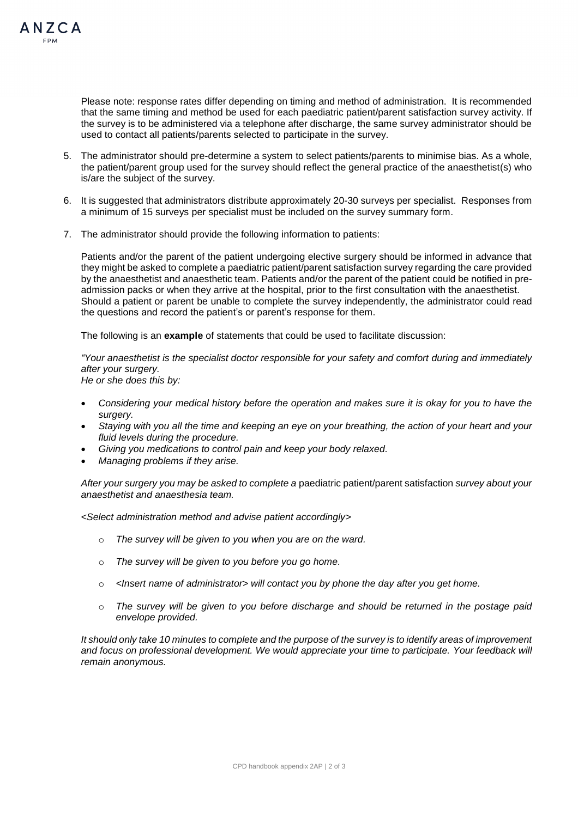Please note: response rates differ depending on timing and method of administration. It is recommended that the same timing and method be used for each paediatric patient/parent satisfaction survey activity. If the survey is to be administered via a telephone after discharge, the same survey administrator should be used to contact all patients/parents selected to participate in the survey.

- 5. The administrator should pre-determine a system to select patients/parents to minimise bias. As a whole, the patient/parent group used for the survey should reflect the general practice of the anaesthetist(s) who is/are the subject of the survey.
- 6. It is suggested that administrators distribute approximately 20-30 surveys per specialist. Responses from a minimum of 15 surveys per specialist must be included on the survey summary form.
- 7. The administrator should provide the following information to patients:

Patients and/or the parent of the patient undergoing elective surgery should be informed in advance that they might be asked to complete a paediatric patient/parent satisfaction survey regarding the care provided by the anaesthetist and anaesthetic team. Patients and/or the parent of the patient could be notified in preadmission packs or when they arrive at the hospital, prior to the first consultation with the anaesthetist. Should a patient or parent be unable to complete the survey independently, the administrator could read the questions and record the patient's or parent's response for them.

The following is an **example** of statements that could be used to facilitate discussion:

*"Your anaesthetist is the specialist doctor responsible for your safety and comfort during and immediately after your surgery.*

*He or she does this by:*

- *Considering your medical history before the operation and makes sure it is okay for you to have the surgery.*
- *Staying with you all the time and keeping an eye on your breathing, the action of your heart and your fluid levels during the procedure.*
- *Giving you medications to control pain and keep your body relaxed.*
- *Managing problems if they arise.*

*After your surgery you may be asked to complete a* paediatric patient/parent satisfaction *survey about your anaesthetist and anaesthesia team.* 

*<Select administration method and advise patient accordingly>*

- o *The survey will be given to you when you are on the ward.*
- o *The survey will be given to you before you go home.*
- o *<Insert name of administrator> will contact you by phone the day after you get home.*
- o *The survey will be given to you before discharge and should be returned in the postage paid envelope provided.*

*It should only take 10 minutes to complete and the purpose of the survey is to identify areas of improvement and focus on professional development. We would appreciate your time to participate. Your feedback will remain anonymous.*